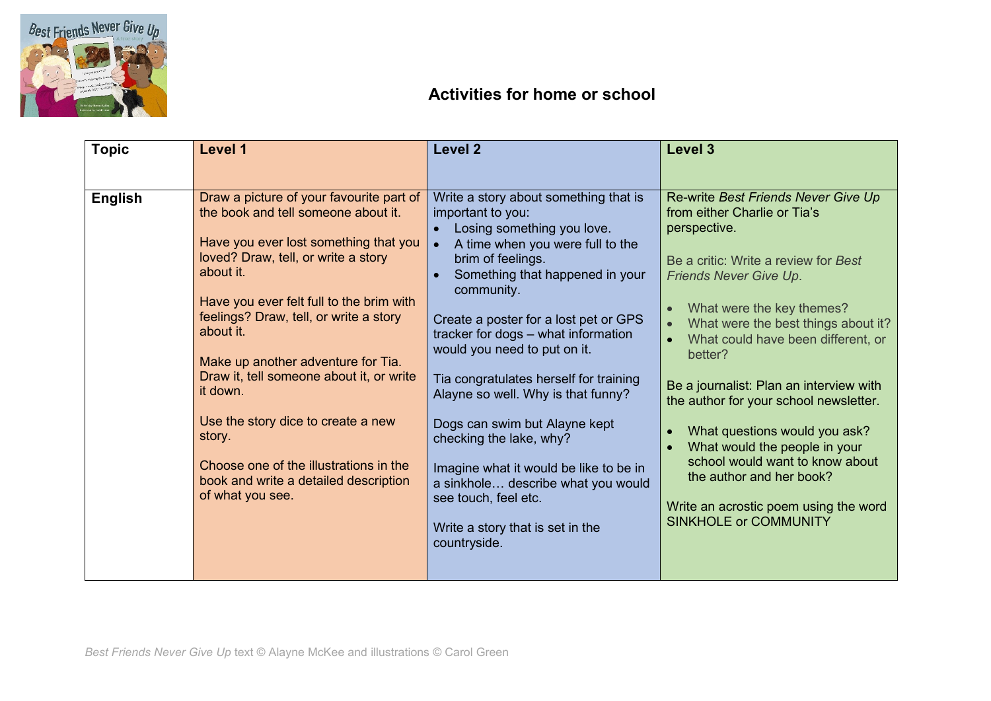

## **Activities for home or school**

| <b>Topic</b>   | Level 1                                                                                                                                                                                                                                                                                                                                                                                                                                                                                                                              | Level <sub>2</sub>                                                                                                                                                                                                                                                                                                                                                                                                                                                                                                                                                                                                                      | <b>Level 3</b>                                                                                                                                                                                                                                                                                                                                                                                                                                                                                                                                                                   |
|----------------|--------------------------------------------------------------------------------------------------------------------------------------------------------------------------------------------------------------------------------------------------------------------------------------------------------------------------------------------------------------------------------------------------------------------------------------------------------------------------------------------------------------------------------------|-----------------------------------------------------------------------------------------------------------------------------------------------------------------------------------------------------------------------------------------------------------------------------------------------------------------------------------------------------------------------------------------------------------------------------------------------------------------------------------------------------------------------------------------------------------------------------------------------------------------------------------------|----------------------------------------------------------------------------------------------------------------------------------------------------------------------------------------------------------------------------------------------------------------------------------------------------------------------------------------------------------------------------------------------------------------------------------------------------------------------------------------------------------------------------------------------------------------------------------|
|                |                                                                                                                                                                                                                                                                                                                                                                                                                                                                                                                                      |                                                                                                                                                                                                                                                                                                                                                                                                                                                                                                                                                                                                                                         |                                                                                                                                                                                                                                                                                                                                                                                                                                                                                                                                                                                  |
| <b>English</b> | Draw a picture of your favourite part of<br>the book and tell someone about it.<br>Have you ever lost something that you<br>loved? Draw, tell, or write a story<br>about it.<br>Have you ever felt full to the brim with<br>feelings? Draw, tell, or write a story<br>about it.<br>Make up another adventure for Tia.<br>Draw it, tell someone about it, or write<br>it down.<br>Use the story dice to create a new<br>story.<br>Choose one of the illustrations in the<br>book and write a detailed description<br>of what you see. | Write a story about something that is<br>important to you:<br>Losing something you love.<br>A time when you were full to the<br>$\bullet$<br>brim of feelings.<br>Something that happened in your<br>community.<br>Create a poster for a lost pet or GPS<br>tracker for dogs - what information<br>would you need to put on it.<br>Tia congratulates herself for training<br>Alayne so well. Why is that funny?<br>Dogs can swim but Alayne kept<br>checking the lake, why?<br>Imagine what it would be like to be in<br>a sinkhole describe what you would<br>see touch, feel etc.<br>Write a story that is set in the<br>countryside. | Re-write Best Friends Never Give Up<br>from either Charlie or Tia's<br>perspective.<br>Be a critic: Write a review for Best<br><b>Friends Never Give Up.</b><br>What were the key themes?<br>What were the best things about it?<br>What could have been different, or<br>better?<br>Be a journalist: Plan an interview with<br>the author for your school newsletter.<br>What questions would you ask?<br>What would the people in your<br>school would want to know about<br>the author and her book?<br>Write an acrostic poem using the word<br><b>SINKHOLE or COMMUNITY</b> |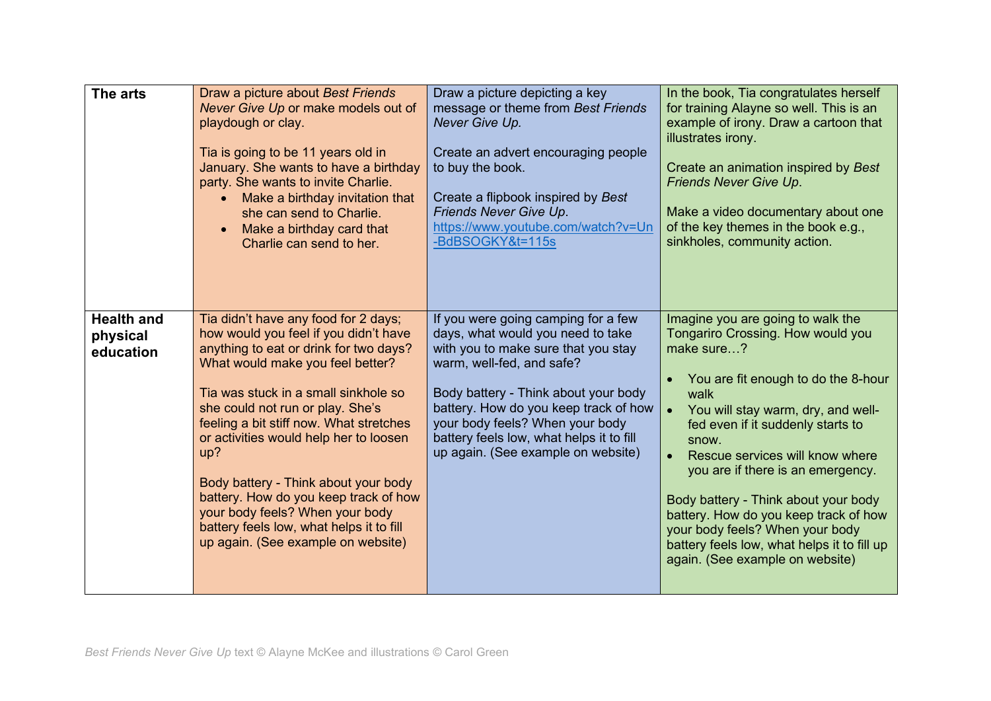| The arts                                   | Draw a picture about Best Friends<br>Never Give Up or make models out of<br>playdough or clay.<br>Tia is going to be 11 years old in<br>January. She wants to have a birthday<br>party. She wants to invite Charlie.<br>Make a birthday invitation that<br>she can send to Charlie.<br>Make a birthday card that<br>Charlie can send to her.                                                                                                                                                                                              | Draw a picture depicting a key<br>message or theme from Best Friends<br>Never Give Up.<br>Create an advert encouraging people<br>to buy the book.<br>Create a flipbook inspired by Best<br>Friends Never Give Up.<br>https://www.youtube.com/watch?v=Un<br>-BdBSOGKY&t=115s                                                                        | In the book, Tia congratulates herself<br>for training Alayne so well. This is an<br>example of irony. Draw a cartoon that<br>illustrates irony.<br>Create an animation inspired by Best<br>Friends Never Give Up.<br>Make a video documentary about one<br>of the key themes in the book e.g.,<br>sinkholes, community action.                                                                                                                                                                                    |
|--------------------------------------------|-------------------------------------------------------------------------------------------------------------------------------------------------------------------------------------------------------------------------------------------------------------------------------------------------------------------------------------------------------------------------------------------------------------------------------------------------------------------------------------------------------------------------------------------|----------------------------------------------------------------------------------------------------------------------------------------------------------------------------------------------------------------------------------------------------------------------------------------------------------------------------------------------------|--------------------------------------------------------------------------------------------------------------------------------------------------------------------------------------------------------------------------------------------------------------------------------------------------------------------------------------------------------------------------------------------------------------------------------------------------------------------------------------------------------------------|
| <b>Health and</b><br>physical<br>education | Tia didn't have any food for 2 days;<br>how would you feel if you didn't have<br>anything to eat or drink for two days?<br>What would make you feel better?<br>Tia was stuck in a small sinkhole so<br>she could not run or play. She's<br>feeling a bit stiff now. What stretches<br>or activities would help her to loosen<br>up?<br>Body battery - Think about your body<br>battery. How do you keep track of how<br>your body feels? When your body<br>battery feels low, what helps it to fill<br>up again. (See example on website) | If you were going camping for a few<br>days, what would you need to take<br>with you to make sure that you stay<br>warm, well-fed, and safe?<br>Body battery - Think about your body<br>battery. How do you keep track of how<br>your body feels? When your body<br>battery feels low, what helps it to fill<br>up again. (See example on website) | Imagine you are going to walk the<br>Tongariro Crossing. How would you<br>make sure?<br>You are fit enough to do the 8-hour<br>walk<br>You will stay warm, dry, and well-<br>fed even if it suddenly starts to<br>snow.<br>Rescue services will know where<br>$\bullet$<br>you are if there is an emergency.<br>Body battery - Think about your body<br>battery. How do you keep track of how<br>your body feels? When your body<br>battery feels low, what helps it to fill up<br>again. (See example on website) |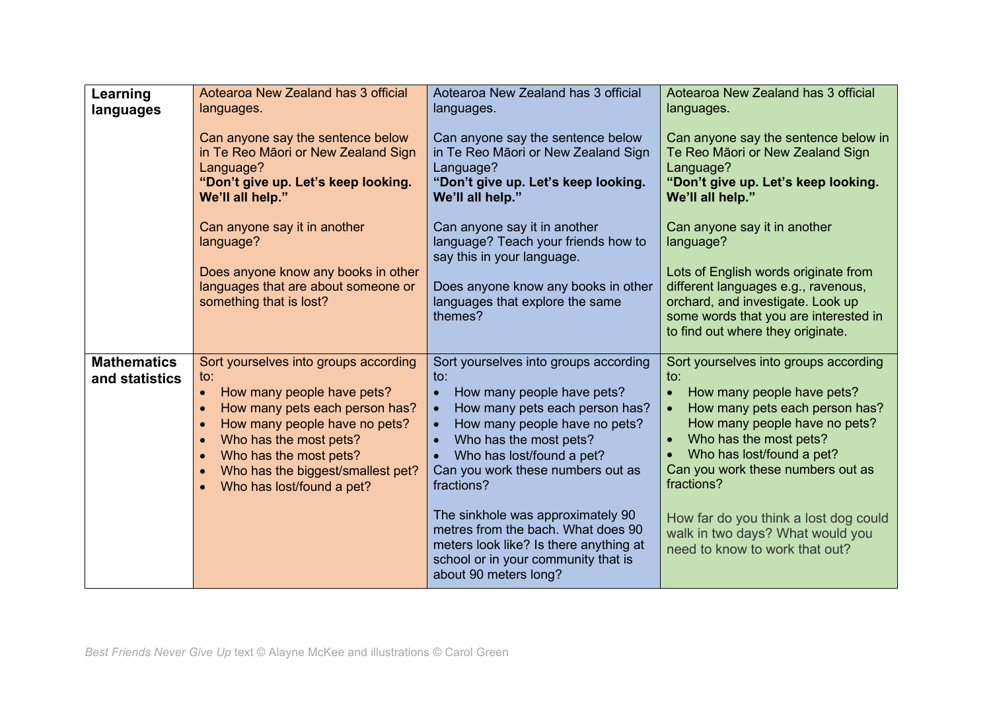| Learning<br>languages                | Aotearoa New Zealand has 3 official<br>languages.                                                                                                                                                                                                                                                                                    | Aotearoa New Zealand has 3 official<br>languages.                                                                                                                                                                                                                                                                       | Aotearoa New Zealand has 3 official<br>languages.                                                                                                                                                                                                                                |
|--------------------------------------|--------------------------------------------------------------------------------------------------------------------------------------------------------------------------------------------------------------------------------------------------------------------------------------------------------------------------------------|-------------------------------------------------------------------------------------------------------------------------------------------------------------------------------------------------------------------------------------------------------------------------------------------------------------------------|----------------------------------------------------------------------------------------------------------------------------------------------------------------------------------------------------------------------------------------------------------------------------------|
|                                      | Can anyone say the sentence below<br>in Te Reo Māori or New Zealand Sign<br>Language?<br>"Don't give up. Let's keep looking.<br>We'll all help."                                                                                                                                                                                     | Can anyone say the sentence below<br>in Te Reo Māori or New Zealand Sign<br>Language?<br>"Don't give up. Let's keep looking.<br>We'll all help."                                                                                                                                                                        | Can anyone say the sentence below in<br>Te Reo Māori or New Zealand Sign<br>Language?<br>"Don't give up. Let's keep looking.<br>We'll all help."                                                                                                                                 |
|                                      | Can anyone say it in another<br>language?                                                                                                                                                                                                                                                                                            | Can anyone say it in another<br>language? Teach your friends how to<br>say this in your language.                                                                                                                                                                                                                       | Can anyone say it in another<br>language?                                                                                                                                                                                                                                        |
|                                      | Does anyone know any books in other<br>languages that are about someone or<br>something that is lost?                                                                                                                                                                                                                                | Does anyone know any books in other<br>languages that explore the same<br>themes?                                                                                                                                                                                                                                       | Lots of English words originate from<br>different languages e.g., ravenous,<br>orchard, and investigate. Look up<br>some words that you are interested in<br>to find out where they originate.                                                                                   |
| <b>Mathematics</b><br>and statistics | Sort yourselves into groups according<br>to:<br>How many people have pets?<br>$\bullet$<br>How many pets each person has?<br>How many people have no pets?<br>$\bullet$<br>Who has the most pets?<br>$\bullet$<br>Who has the most pets?<br>$\bullet$<br>Who has the biggest/smallest pet?<br>$\bullet$<br>Who has lost/found a pet? | Sort yourselves into groups according<br>$\mathsf{to}$ :<br>How many people have pets?<br>$\bullet$<br>How many pets each person has?<br>$\bullet$<br>How many people have no pets?<br>$\bullet$<br>Who has the most pets?<br>$\bullet$<br>Who has lost/found a pet?<br>Can you work these numbers out as<br>fractions? | Sort yourselves into groups according<br>$\mathsf{to}$ :<br>How many people have pets?<br>$\bullet$<br>How many pets each person has?<br>How many people have no pets?<br>Who has the most pets?<br>Who has lost/found a pet?<br>Can you work these numbers out as<br>fractions? |
|                                      |                                                                                                                                                                                                                                                                                                                                      | The sinkhole was approximately 90<br>metres from the bach. What does 90<br>meters look like? Is there anything at<br>school or in your community that is<br>about 90 meters long?                                                                                                                                       | How far do you think a lost dog could<br>walk in two days? What would you<br>need to know to work that out?                                                                                                                                                                      |